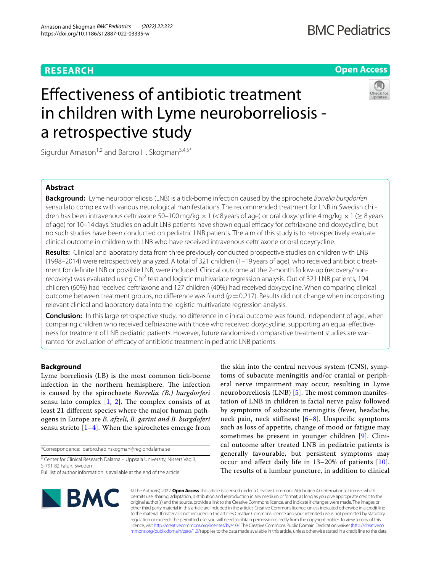## **RESEARCH**

## **Open Access**

# Efectiveness of antibiotic treatment in children with Lyme neuroborreliosis a retrospective study



Sigurdur Arnason<sup>1,2</sup> and Barbro H. Skogman<sup>3,4,5\*</sup>

## **Abstract**

**Background:** Lyme neuroborreliosis (LNB) is a tick-borne infection caused by the spirochete *Borrelia burgdorferi* sensu lato complex with various neurological manifestations. The recommended treatment for LNB in Swedish children has been intravenous ceftriaxone 50–100 mg/kg  $\times$  1 (<8 years of age) or oral doxycycline 4 mg/kg  $\times$  1 ( $\geq$  8 years of age) for 10–14 days. Studies on adult LNB patients have shown equal efficacy for ceftriaxone and doxycycline, but no such studies have been conducted on pediatric LNB patients. The aim of this study is to retrospectively evaluate clinical outcome in children with LNB who have received intravenous ceftriaxone or oral doxycycline.

**Results:** Clinical and laboratory data from three previously conducted prospective studies on children with LNB (1998–2014) were retrospectively analyzed. A total of 321 children (1–19 years of age), who received antibiotic treatment for defnite LNB or possible LNB, were included. Clinical outcome at the 2-month follow-up (recovery/nonrecovery) was evaluated using Chi<sup>2</sup> test and logistic multivariate regression analysis. Out of 321 LNB patients, 194 children (60%) had received ceftriaxone and 127 children (40%) had received doxycycline. When comparing clinical outcome between treatment groups, no difference was found  $(p=0,217)$ . Results did not change when incorporating relevant clinical and laboratory data into the logistic multivariate regression analysis.

**Conclusion:** In this large retrospective study, no diference in clinical outcome was found, independent of age, when comparing children who received ceftriaxone with those who received doxycycline, supporting an equal efectiveness for treatment of LNB pediatric patients. However, future randomized comparative treatment studies are warranted for evaluation of efficacy of antibiotic treatment in pediatric LNB patients.

### **Background**

Lyme borreliosis (LB) is the most common tick-borne infection in the northern hemisphere. The infection is caused by the spirochaete *Borrelia (B.) burgdorferi* sensu lato complex  $[1, 2]$  $[1, 2]$  $[1, 2]$ . The complex consists of at least 21 diferent species where the major human pathogens in Europe are *B. afzeli*, *B. garini and B. burgdoferi* sensu stricto  $[1-4]$  $[1-4]$ . When the spirochetes emerge from

\*Correspondence: barbro.hedinskogman@regiondalarna.se

<sup>3</sup> Center for Clinical Research Dalarna - Uppsala University, Nissers Väg 3, S-791 82 Falun, Sweden

the skin into the central nervous system (CNS), symptoms of subacute meningitis and/or cranial or peripheral nerve impairment may occur, resulting in Lyme neuroborreliosis (LNB)  $[5]$  $[5]$  $[5]$ . The most common manifestation of LNB in children is facial nerve palsy followed by symptoms of subacute meningitis (fever, headache, neck pain, neck stiffness)  $[6-8]$  $[6-8]$ . Unspecific symptoms such as loss of appetite, change of mood or fatigue may sometimes be present in younger children [[9](#page-6-6)]. Clinical outcome after treated LNB in pediatric patients is generally favourable, but persistent symptoms may occur and afect daily life in 13–20% of patients [[10](#page-6-7)]. The results of a lumbar puncture, in addition to clinical



© The Author(s) 2022. **Open Access** This article is licensed under a Creative Commons Attribution 4.0 International License, which permits use, sharing, adaptation, distribution and reproduction in any medium or format, as long as you give appropriate credit to the original author(s) and the source, provide a link to the Creative Commons licence, and indicate if changes were made. The images or other third party material in this article are included in the article's Creative Commons licence, unless indicated otherwise in a credit line to the material. If material is not included in the article's Creative Commons licence and your intended use is not permitted by statutory regulation or exceeds the permitted use, you will need to obtain permission directly from the copyright holder. To view a copy of this licence, visit [http://creativecommons.org/licenses/by/4.0/.](http://creativecommons.org/licenses/by/4.0/) The Creative Commons Public Domain Dedication waiver ([http://creativeco](http://creativecommons.org/publicdomain/zero/1.0/) [mmons.org/publicdomain/zero/1.0/](http://creativecommons.org/publicdomain/zero/1.0/)) applies to the data made available in this article, unless otherwise stated in a credit line to the data.

Full list of author information is available at the end of the article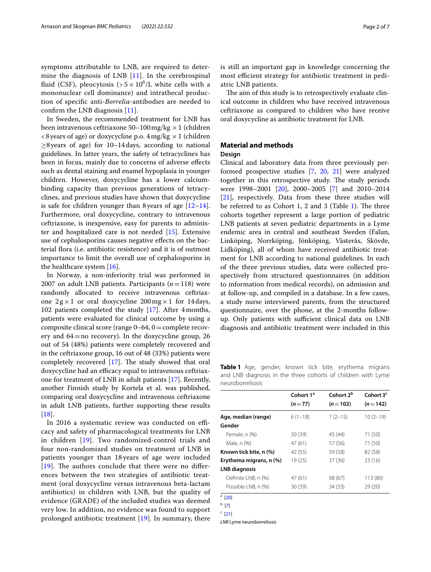symptoms attributable to LNB, are required to determine the diagnosis of LNB [[11](#page-6-8)]. In the cerebrospinal fluid (CSF), pleocytosis (>5 $\times$  10<sup>6</sup>/L white cells with a mononuclear cell dominance) and intrathecal production of specifc anti-*Borrelia*-antibodies are needed to confrm the LNB diagnosis [\[11](#page-6-8)].

In Sweden, the recommended treatment for LNB has been intravenous ceftriaxone 50–100 mg/kg  $\times$  1 (children  $\langle 8 \rangle$  vears of age) or doxycycline p.o.  $4 \text{ mg/kg} \times 1$  (children ≥8years of age) for 10–14days, according to national guidelines. In latter years, the safety of tetracyclines has been in focus, mainly due to concerns of adverse efects such as dental staining and enamel hypoplasia in younger children. However, doxycycline has a lower calciumbinding capacity than previous generations of tetracyclines, and previous studies have shown that doxycycline is safe for children younger than 8 years of age  $[12-14]$  $[12-14]$  $[12-14]$ . Furthermore, oral doxycycline, contrary to intravenous ceftriaxone, is inexpensive, easy for parents to administer and hospitalized care is not needed [\[15](#page-6-11)]. Extensive use of cephalosporins causes negative effects on the bacterial fora (i.e. antibiotic resistence) and it is of outmost importance to limit the overall use of cephalosporins in the healthcare system [[16](#page-6-12)].

In Norway, a non-inferiority trial was performed in 2007 on adult LNB patients. Participants (*n*=118) were randomly allocated to receive intravenous ceftriaxone  $2g \times 1$  or oral doxycycline  $200 \text{ mg} \times 1$  for 14 days, 102 patients completed the study [[17\]](#page-6-13). After 4months, patients were evaluated for clinical outcome by using a composite clinical score (range  $0-64$ ,  $0=$  complete recovery and  $64=$ no recovery). In the doxycycline group, 26 out of 54 (48%) patients were completely recovered and in the ceftriaxone group, 16 out of 48 (33%) patients were completely recovered [\[17](#page-6-13)]. The study showed that oral doxycycline had an efficacy equal to intravenous ceftriaxone for treatment of LNB in adult patients [[17\]](#page-6-13). Recently, another Finnish study by Kortela et al. was published, comparing oral doxycycline and intravenous ceftriaxone in adult LNB patients, further supporting these results [[18\]](#page-6-14).

In 2016 a systematic review was conducted on efficacy and safety of pharmacological treatments for LNB in children [[19\]](#page-6-15). Two randomized-control trials and four non-randomized studies on treatment of LNB in patients younger than 18 years of age were included  $[19]$  $[19]$  $[19]$ . The authors conclude that there were no differences between the two strategies of antibiotic treatment (oral doxycycline versus intravenous beta-lactam antibiotics) in children with LNB, but the quality of evidence (GRADE) of the included studies was deemed very low. In addition, no evidence was found to support prolonged antibiotic treatment [[19\]](#page-6-15). In summary, there is still an important gap in knowledge concerning the most efficient strategy for antibiotic treatment in pediatric LNB patients.

The aim of this study is to retrospectively evaluate clinical outcome in children who have received intravenous ceftriaxone as compared to children who have receive oral doxycycline as antibiotic treatment for LNB.

## **Material and methods**

#### **Design**

Clinical and laboratory data from three previously performed prospective studies [[7,](#page-6-16) [20,](#page-6-17) [21](#page-6-18)] were analyzed together in this retrospective study. The study periods were 1998–2001 [[20\]](#page-6-17), 2000–2005 [[7\]](#page-6-16) and 2010–2014 [[21\]](#page-6-18), respectively. Data from these three studies will be referred to as Cohort 1, 2 and 3 (Table [1\)](#page-1-0). The three cohorts together represent a large portion of pediatric LNB patients at seven pediatric departments in a Lyme endemic area in central and southeast Sweden (Falun, Linköping, Norrköping, Jönköping, Västerås, Skövde, Lidköping), all of whom have received antibiotic treatment for LNB according to national guidelines. In each of the three previous studies, data were collected prospectively from structured questionnaires (in addition to information from medical records), on admission and at follow-up, and compiled in a database. In a few cases, a study nurse interviewed parents, from the structured questionnaire, over the phone, at the 2-months followup. Only patients with sufficient clinical data on LNB diagnosis and antibiotic treatment were included in this

<span id="page-1-0"></span>**Table 1** Age, gender, known tick bite, erythema migrans and LNB diagnosis in the three cohorts of children with Lyme neuroborreliosis

|                         | Cohort 1 <sup>a</sup> | Cohort 2 <sup>b</sup> | Cohort 3 <sup>c</sup> |
|-------------------------|-----------------------|-----------------------|-----------------------|
|                         | $(n=77)$              | $(n=102)$             | $(n=142)$             |
| Age, median (range)     | $6(1-18)$             | $7(2-15)$             | $10(2-19)$            |
| Gender                  |                       |                       |                       |
| Female, n (%)           | 30 (39)               | 45 (44)               | 71 (50)               |
| Male, n (%)             | 47(61)                | 57 (56)               | 71 (50)               |
| Known tick bite, n (%)  | 42 (55)               | 59 (58)               | 82 (58)               |
| Erythema migrans, n (%) | 19 (25)               | 37(36)                | 23(16)                |
| <b>LNB</b> diagnosis    |                       |                       |                       |
| Definite LNB, n (%)     | 47 (61)               | 68 (67)               | 113 (80)              |
| Possible LNB, n (%)     | 30 (39)               | 34 (33)               | 29 (20)               |
| $a$ [20]                |                       |                       |                       |

b [\[7](#page-6-16)]  $c$  [[21](#page-6-18)]

*LNB* Lyme neuroborreliosis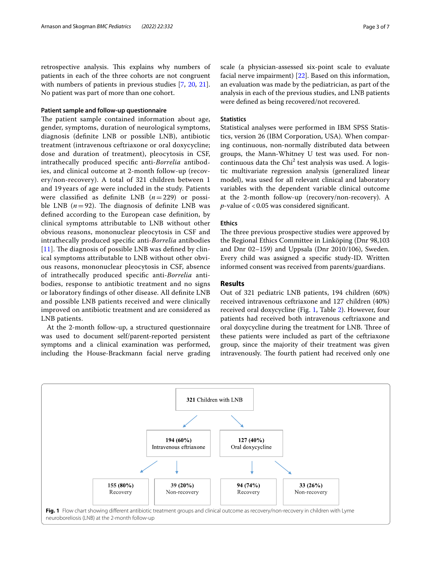retrospective analysis. This explains why numbers of patients in each of the three cohorts are not congruent with numbers of patients in previous studies [[7](#page-6-16), [20,](#page-6-17) [21](#page-6-18)]. No patient was part of more than one cohort.

#### **Patient sample and follow‑up questionnaire**

The patient sample contained information about age, gender, symptoms, duration of neurological symptoms, diagnosis (defnite LNB or possible LNB), antibiotic treatment (intravenous ceftriaxone or oral doxycycline; dose and duration of treatment), pleocytosis in CSF, intrathecally produced specifc anti-*Borrelia* antibodies, and clinical outcome at 2-month follow-up (recovery/non-recovery). A total of 321 children between 1 and 19 years of age were included in the study. Patients were classifed as defnite LNB (*n*=229) or possible LNB  $(n=92)$ . The diagnosis of definite LNB was defned according to the European case defnition, by clinical symptoms attributable to LNB without other obvious reasons, mononuclear pleocytosis in CSF and intrathecally produced specifc anti-*Borrelia* antibodies [[11](#page-6-8)]. The diagnosis of possible LNB was defined by clinical symptoms attributable to LNB without other obvious reasons, mononuclear pleocytosis in CSF, absence of intrathecally produced specifc anti-*Borrelia* antibodies, response to antibiotic treatment and no signs or laboratory fndings of other disease. All defnite LNB and possible LNB patients received and were clinically improved on antibiotic treatment and are considered as LNB patients.

At the 2-month follow-up, a structured questionnaire was used to document self/parent-reported persistent symptoms and a clinical examination was performed, including the House-Brackmann facial nerve grading scale (a physician-assessed six-point scale to evaluate facial nerve impairment) [[22\]](#page-6-19). Based on this information, an evaluation was made by the pediatrician, as part of the analysis in each of the previous studies, and LNB patients were defned as being recovered/not recovered.

#### **Statistics**

Statistical analyses were performed in IBM SPSS Statistics, version 26 (IBM Corporation, USA). When comparing continuous, non-normally distributed data between groups, the Mann-Whitney U test was used. For noncontinuous data the  $Chi<sup>2</sup>$  test analysis was used. A logistic multivariate regression analysis (generalized linear model), was used for all relevant clinical and laboratory variables with the dependent variable clinical outcome at the 2-month follow-up (recovery/non-recovery). A *p*-value of <0.05 was considered signifcant.

#### **Ethics**

The three previous prospective studies were approved by the Regional Ethics Committee in Linköping (Dnr 98,103 and Dnr 02–159) and Uppsala (Dnr 2010/106), Sweden. Every child was assigned a specifc study-ID. Written informed consent was received from parents/guardians.

#### **Results**

Out of 321 pediatric LNB patients, 194 children (60%) received intravenous ceftriaxone and 127 children (40%) received oral doxycycline (Fig. [1](#page-2-0), Table [2\)](#page-3-0). However, four patients had received both intravenous ceftriaxone and oral doxycycline during the treatment for LNB. Three of these patients were included as part of the ceftriaxone group, since the majority of their treatment was given intravenously. The fourth patient had received only one

<span id="page-2-0"></span>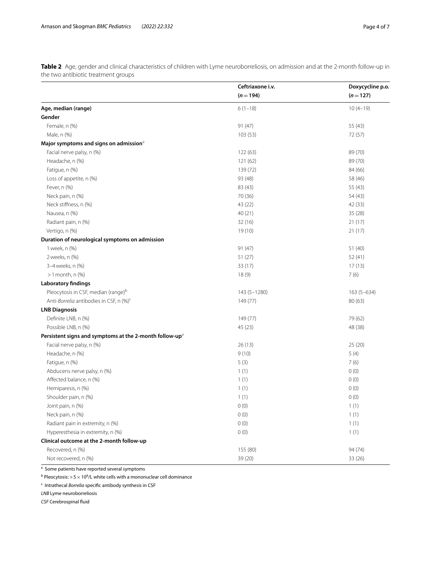<span id="page-3-0"></span>**Table 2** Age, gender and clinical characteristics of children with Lyme neuroborreliosis, on admission and at the 2-month follow-up in the two antibiotic treatment groups

|                                                                     | Ceftriaxone i.v. | Doxycycline p.o. |  |
|---------------------------------------------------------------------|------------------|------------------|--|
|                                                                     | $(n=194)$        | $(n=127)$        |  |
| Age, median (range)                                                 | $6(1-18)$        | $10(4-19)$       |  |
| Gender                                                              |                  |                  |  |
| Female, n (%)                                                       | 91(47)           | 55 (43)          |  |
| Male, n (%)                                                         | 103(53)          | 72 (57)          |  |
| Major symptoms and signs on admission <sup>a</sup>                  |                  |                  |  |
| Facial nerve palsy, n (%)                                           | 122(63)          | 89 (70)          |  |
| Headache, n (%)                                                     | 121(62)          | 89 (70)          |  |
| Fatigue, n (%)                                                      | 139 (72)         | 84 (66)          |  |
| Loss of appetite, n (%)                                             | 93 (48)          | 58 (46)          |  |
| Fever, n (%)                                                        | 83 (43)          | 55 (43)          |  |
| Neck pain, n (%)                                                    | 70 (36)          | 54 (43)          |  |
| Neck stiffness, n (%)                                               | 43 (22)          | 42 (33)          |  |
| Nausea, n (%)                                                       | 40(21)           | 35 (28)          |  |
| Radiant pain, n (%)                                                 | 32(16)           | 21(17)           |  |
| Vertigo, n (%)                                                      | 19(10)           | 21(17)           |  |
| Duration of neurological symptoms on admission                      |                  |                  |  |
| 1 week, n (%)                                                       | 91(47)           | 51 (40)          |  |
| 2 weeks, n (%)                                                      | 51(27)           | 52 (41)          |  |
| 3-4 weeks, n (%)                                                    | 33 (17)          | 17(13)           |  |
| $>1$ month, n $(\%)$                                                | 18 (9)           | 7(6)             |  |
| <b>Laboratory findings</b>                                          |                  |                  |  |
| Pleocytosis in CSF, median (range) <sup>b</sup>                     | 143 (5-1280)     | $163(5 - 634)$   |  |
| Anti-Borrelia antibodies in CSF, n (%) <sup>c</sup>                 | 149 (77)         | 80 (63)          |  |
| <b>LNB Diagnosis</b>                                                |                  |                  |  |
| Definite LNB, n (%)                                                 | 149 (77)         | 79 (62)          |  |
| Possible LNB, n (%)                                                 | 45 (23)          | 48 (38)          |  |
| Persistent signs and symptoms at the 2-month follow-up <sup>a</sup> |                  |                  |  |
| Facial nerve palsy, n (%)                                           | 26(13)           | 25(20)           |  |
| Headache, n (%)                                                     | 9(10)            | 5(4)             |  |
| Fatigue, n (%)                                                      | 5(3)             | 7(6)             |  |
| Abducens nerve palsy, n (%)                                         | 1(1)             | 0(0)             |  |
| Affected balance, n (%)                                             | 1(1)             | 0(0)             |  |
| Hemiparesis, n (%)                                                  | 1(1)             | 0(0)             |  |
| Shoulder pain, n (%)                                                | 1(1)             | 0(0)             |  |
| Joint pain, n (%)                                                   | 0(0)             | 1(1)             |  |
| Neck pain, n (%)                                                    | 0(0)             | 1(1)             |  |
| Radiant pain in extremity, n (%)                                    | 0(0)             | 1(1)             |  |
| Hyperesthesia in extremity, n (%)                                   | 0(0)             | 1(1)             |  |
| Clinical outcome at the 2-month follow-up                           |                  |                  |  |
| Recovered, n (%)                                                    | 155 (80)         | 94 (74)          |  |
| Not recovered, n (%)                                                | 39 (20)          | 33 (26)          |  |

<sup>a</sup> Some patients have reported several symptoms

 $^{\rm b}$  Pleocytosis: > 5  $\times$  10 $^{\rm 6}$ /L white cells with a mononuclear cell dominance

<sup>c</sup> Intrathecal *Borrelia* specific antibody synthesis in CSF

*LNB* Lyme neuroborreliosis

*CSF* Cerebrospinal fuid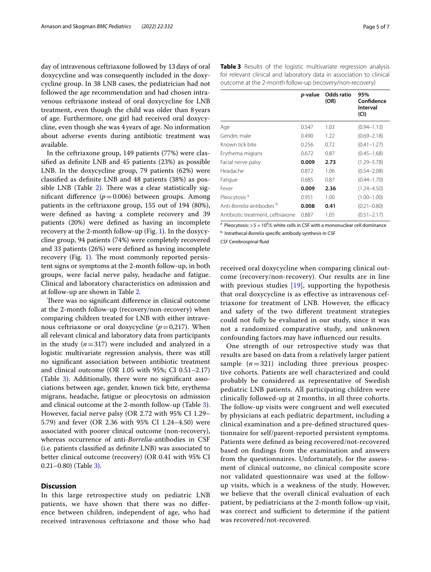day of intravenous ceftriaxone followed by 13days of oral doxycycline and was consequently included in the doxycycline group. In 38 LNB cases, the pediatrician had not followed the age recommendation and had chosen intravenous ceftriaxone instead of oral doxycycline for LNB treatment, even though the child was older than 8years of age. Furthermore, one girl had received oral doxycycline, even though she was 4years of age. No information about adverse events during antibiotic treatment was available.

In the ceftriaxone group, 149 patients (77%) were classifed as defnite LNB and 45 patients (23%) as possible LNB. In the doxycycline group, 79 patients (62%) were classifed as defnite LNB and 48 patients (38%) as pos-sible LNB (Table [2](#page-3-0)). There was a clear statistically significant difference  $(p=0.006)$  between groups. Among patients in the ceftriaxone group, 155 out of 194 (80%), were defned as having a complete recovery and 39 patients (20%) were defned as having an incomplete recovery at the 2-month follow-up (Fig. [1](#page-2-0)). In the doxycycline group, 94 patients (74%) were completely recovered and 33 patients (26%) were defned as having incomplete recovery (Fig. [1\)](#page-2-0). The most commonly reported persistent signs or symptoms at the 2-month follow-up, in both groups, were facial nerve palsy, headache and fatigue. Clinical and laboratory characteristics on admission and at follow-up are shown in Table [2](#page-3-0).

There was no significant difference in clinical outcome at the 2-month follow-up (recovery/non-recovery) when comparing children treated for LNB with either intravenous ceftriaxone or oral doxycycline  $(p=0,217)$ . When all relevant clinical and laboratory data from participants in the study (*n*=317) were included and analyzed in a logistic multivariate regression analysis, there was still no signifcant association between antibiotic treatment and clinical outcome (OR 1.05 with 95%; CI 0.51–2.17) (Table [3\)](#page-4-0). Additionally, there were no signifcant associations between age, gender, known tick bite, erythema migrans, headache, fatigue or pleocytosis on admission and clinical outcome at the 2-month follow-up (Table [3](#page-4-0)). However, facial nerve palsy (OR 2.72 with 95% CI 1.29– 5.79) and fever (OR 2.36 with 95% CI 1.24–4.50) were associated with poorer clinical outcome (non-recovery), whereas occurrence of anti-*Borrelia*-antibodies in CSF (i.e. patients classifed as defnite LNB) was associated to better clinical outcome (recovery) (OR 0.41 with 95% CI 0.21–0.80) (Table [3\)](#page-4-0).

#### **Discussion**

In this large retrospective study on pediatric LNB patients, we have shown that there was no diference between children, independent of age, who had received intravenous ceftriaxone and those who had

<span id="page-4-0"></span>

|                                                | <i>p</i> -value | Odds ratio<br>(OR) | 95%<br>Confidence<br>Interval<br>(CI) |
|------------------------------------------------|-----------------|--------------------|---------------------------------------|
| Age                                            | 0.547           | 1.03               | $(0.94 - 1.13)$                       |
| Gender, male                                   | 0.490           | 1.22               | $(0.69 - 2.18)$                       |
| Known tick bite                                | 0.256           | 0.72               | $(0.41 - 1.27)$                       |
| Erythema migrans                               | 0.672           | 0.87               | $(0.45 - 1.68)$                       |
| Facial nerve palsy                             | 0.009           | 2.73               | $(1.29 - 5.78)$                       |
| Headache                                       | 0.872           | 1.06               | $(0.54 - 2.08)$                       |
| Fatigue                                        | 0.685           | 0.87               | $(0.44 - 1.70)$                       |
| Fever                                          | 0.009           | 2.36               | $(1.24 - 4.50)$                       |
| Pleocytosis <sup>a</sup>                       | 0.951           | 1.00               | $(1.00 - 1.00)$                       |
| Anti- <i>Borrelia</i> -antibodies <sup>b</sup> | 0.008           | 0.41               | $(0.21 - 0.80)$                       |
| Antibiotic treatment, ceftriaxone              | 0.887           | 1.05               | $(0.51 - 2.17)$                       |

<sup>a</sup> Pleocytosis: > 5  $\times$  10<sup>6</sup>/L white cells in CSF with a mononuclear cell dominance **b** Intrathecal *Borrelia* specific antibody synthesis in CSF

*CSF* Cerebrospinal fuid

received oral doxycycline when comparing clinical outcome (recovery/non-recovery). Our results are in line with previous studies [\[19](#page-6-15)], supporting the hypothesis that oral doxycycline is as efective as intravenous ceftriaxone for treatment of LNB. However, the efficacy and safety of the two diferent treatment strategies could not fully be evaluated in our study, since it was not a randomized comparative study, and unknown confounding factors may have infuenced our results.

One strength of our retrospective study was that results are based on data from a relatively larger patient sample  $(n=321)$  including three previous prospective cohorts. Patients are well characterized and could probably be considered as representative of Swedish pediatric LNB patients. All participating children were clinically followed-up at 2 months, in all three cohorts. The follow-up visits were congruent and well executed by physicians at each pediatric department, including a clinical examination and a pre-defned structured questionnaire for self/parent-reported persistent symptoms. Patients were defned as being recovered/not-recovered based on fndings from the examination and answers from the questionnaires. Unfortunately, for the assessment of clinical outcome, no clinical composite score nor validated questionnaire was used at the followup visits, which is a weakness of the study. However, we believe that the overall clinical evaluation of each patient, by pediatricians at the 2-month follow-up visit, was correct and sufficient to determine if the patient was recovered/not-recovered.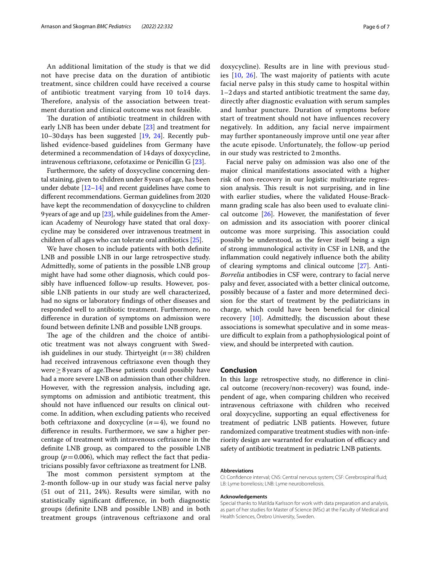An additional limitation of the study is that we did not have precise data on the duration of antibiotic treatment, since children could have received a course of antibiotic treatment varying from 10 to14 days. Therefore, analysis of the association between treatment duration and clinical outcome was not feasible.

The duration of antibiotic treatment in children with early LNB has been under debate [\[23](#page-6-20)] and treatment for 10–30days has been suggested [[19,](#page-6-15) [24\]](#page-6-21). Recently published evidence-based guidelines from Germany have determined a recommendation of 14days of doxycycline, intravenous ceftriaxone, cefotaxime or Penicillin G [\[23](#page-6-20)].

Furthermore, the safety of doxycycline concerning dental staining, given to children under 8years of age, has been under debate [[12](#page-6-9)[–14\]](#page-6-10) and recent guidelines have come to diferent recommendations. German guidelines from 2020 have kept the recommendation of doxycycline to children 9 years of age and up  $[23]$  $[23]$ , while guidelines from the American Academy of Neurology have stated that oral doxycycline may be considered over intravenous treatment in children of all ages who can tolerate oral antibiotics [\[25\]](#page-6-22).

We have chosen to include patients with both defnite LNB and possible LNB in our large retrospective study. Admittedly, some of patients in the possible LNB group might have had some other diagnosis, which could possibly have infuenced follow-up results. However, possible LNB patients in our study are well characterized, had no signs or laboratory fndings of other diseases and responded well to antibiotic treatment. Furthermore, no diference in duration of symptoms on admission were found between defnite LNB and possible LNB groups.

The age of the children and the choice of antibiotic treatment was not always congruent with Swedish guidelines in our study. Thirtyeight  $(n=38)$  children had received intravenous ceftriaxone even though they were ≥8 years of age.These patients could possibly have had a more severe LNB on admission than other children. However, with the regression analysis, including age, symptoms on admission and antibiotic treatment, this should not have infuenced our results on clinical outcome. In addition, when excluding patients who received both ceftriaxone and doxycycline  $(n=4)$ , we found no diference in results. Furthermore, we saw a higher percentage of treatment with intravenous ceftriaxone in the defnite LNB group, as compared to the possible LNB group ( $p = 0.006$ ), which may reflect the fact that pediatricians possibly favor ceftriaxone as treatment for LNB.

The most common persistent symptom at the 2-month follow-up in our study was facial nerve palsy (51 out of 211, 24%). Results were similar, with no statistically signifcant diference, in both diagnostic groups (defnite LNB and possible LNB) and in both treatment groups (intravenous ceftriaxone and oral doxycycline). Results are in line with previous studies  $[10, 26]$  $[10, 26]$  $[10, 26]$  $[10, 26]$  $[10, 26]$ . The wast majority of patients with acute facial nerve palsy in this study came to hospital within 1–2 days and started antibiotic treatment the same day, directly after diagnostic evaluation with serum samples and lumbar puncture. Duration of symptoms before start of treatment should not have infuences recovery negatively. In addition, any facial nerve impairment may further spontaneously improve until one year after the acute episode. Unfortunately, the follow-up period in our study was restricted to 2 months.

Facial nerve palsy on admission was also one of the major clinical manifestations associated with a higher risk of non-recovery in our logistic multivariate regression analysis. This result is not surprising, and in line with earlier studies, where the validated House-Brackmann grading scale has also been used to evaluate clinical outcome [\[26](#page-6-23)]. However, the manifestation of fever on admission and its association with poorer clinical outcome was more surprising. This association could possibly be understood, as the fever itself being a sign of strong immunological activity in CSF in LNB, and the infammation could negatively infuence both the ability of clearing symptoms and clinical outcome [\[27](#page-6-24)]. Anti-*Borrelia* antibodies in CSF were, contrary to facial nerve palsy and fever, associated with a better clinical outcome, possibly because of a faster and more determined decision for the start of treatment by the pediatricians in charge, which could have been benefcial for clinical recovery [[10](#page-6-7)]. Admittedly, the discussion about these associations is somewhat speculative and in some measure difcult to explain from a pathophysiological point of view, and should be interpreted with caution.

#### **Conclusion**

In this large retrospective study, no diference in clinical outcome (recovery/non-recovery) was found, independent of age, when comparing children who received intravenous ceftriaxone with children who received oral doxycycline, supporting an equal efectiveness for treatment of pediatric LNB patients. However, future randomized comparative treatment studies with non-inferiority design are warranted for evaluation of efficacy and safety of antibiotic treatment in pediatric LNB patients.

#### **Abbreviations**

CI: Confdence interval; CNS: Central nervous system; CSF: Cerebrospinal fuid; LB: Lyme borreliosis; LNB: Lyme neuroborreliosis.

#### **Acknowledgements**

Special thanks to Matilda Karlsson for work with data preparation and analysis, as part of her studies for Master of Science (MSc) at the Faculty of Medical and Health Sciences, Örebro University, Sweden.